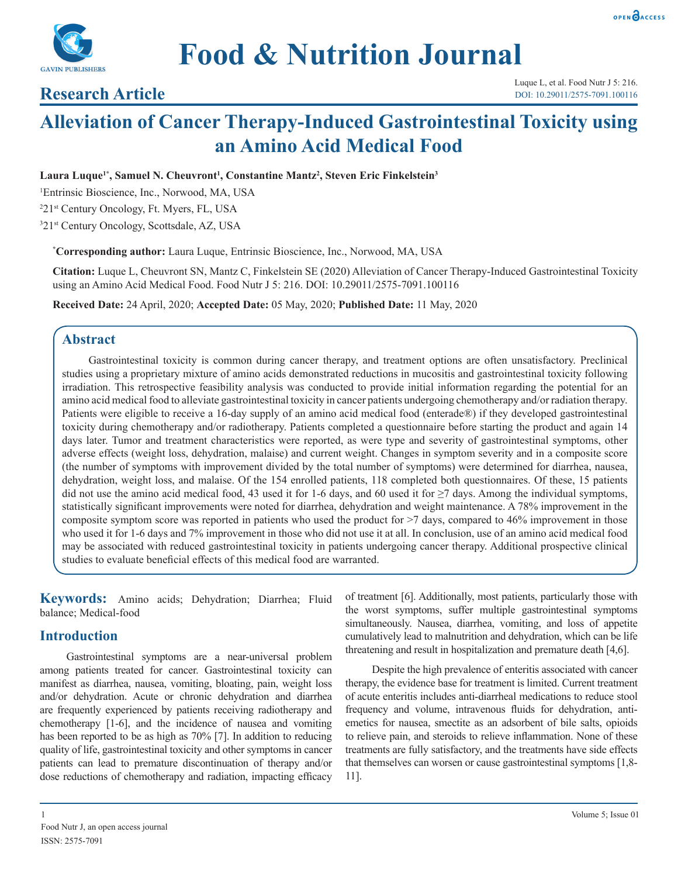



**Food & Nutrition Journal**

## **Research Article**

Luque L, et al. Food Nutr J 5: 216. DOI: 10.29011/2575-7091.100116

# **Alleviation of Cancer Therapy-Induced Gastrointestinal Toxicity using an Amino Acid Medical Food**

Laura Luque<sup>1\*</sup>, Samuel N. Cheuvront<sup>1</sup>, Constantine Mantz<sup>2</sup>, Steven Eric Finkelstein<sup>3</sup>

1 Entrinsic Bioscience, Inc., Norwood, MA, USA

2 21st Century Oncology, Ft. Myers, FL, USA

3 21st Century Oncology, Scottsdale, AZ, USA

**\* Corresponding author:** Laura Luque, Entrinsic Bioscience, Inc., Norwood, MA, USA

**Citation:** Luque L, Cheuvront SN, Mantz C, Finkelstein SE (2020) Alleviation of Cancer Therapy-Induced Gastrointestinal Toxicity using an Amino Acid Medical Food. Food Nutr J 5: 216. DOI: 10.29011/2575-7091.100116

**Received Date:** 24 April, 2020; **Accepted Date:** 05 May, 2020; **Published Date:** 11 May, 2020

## **Abstract**

Gastrointestinal toxicity is common during cancer therapy, and treatment options are often unsatisfactory. Preclinical studies using a proprietary mixture of amino acids demonstrated reductions in mucositis and gastrointestinal toxicity following irradiation. This retrospective feasibility analysis was conducted to provide initial information regarding the potential for an amino acid medical food to alleviate gastrointestinal toxicity in cancer patients undergoing chemotherapy and/or radiation therapy. Patients were eligible to receive a 16-day supply of an amino acid medical food (enterade®) if they developed gastrointestinal toxicity during chemotherapy and/or radiotherapy. Patients completed a questionnaire before starting the product and again 14 days later. Tumor and treatment characteristics were reported, as were type and severity of gastrointestinal symptoms, other adverse effects (weight loss, dehydration, malaise) and current weight. Changes in symptom severity and in a composite score (the number of symptoms with improvement divided by the total number of symptoms) were determined for diarrhea, nausea, dehydration, weight loss, and malaise. Of the 154 enrolled patients, 118 completed both questionnaires. Of these, 15 patients did not use the amino acid medical food, 43 used it for 1-6 days, and 60 used it for  $\geq$ 7 days. Among the individual symptoms, statistically significant improvements were noted for diarrhea, dehydration and weight maintenance. A 78% improvement in the composite symptom score was reported in patients who used the product for >7 days, compared to 46% improvement in those who used it for 1-6 days and 7% improvement in those who did not use it at all. In conclusion, use of an amino acid medical food may be associated with reduced gastrointestinal toxicity in patients undergoing cancer therapy. Additional prospective clinical studies to evaluate beneficial effects of this medical food are warranted.

**Keywords:** Amino acids; Dehydration; Diarrhea; Fluid balance; Medical-food

## **Introduction**

Gastrointestinal symptoms are a near-universal problem among patients treated for cancer. Gastrointestinal toxicity can manifest as diarrhea, nausea, vomiting, bloating, pain, weight loss and/or dehydration. Acute or chronic dehydration and diarrhea are frequently experienced by patients receiving radiotherapy and chemotherapy [1-6], and the incidence of nausea and vomiting has been reported to be as high as 70% [7]. In addition to reducing quality of life, gastrointestinal toxicity and other symptoms in cancer patients can lead to premature discontinuation of therapy and/or dose reductions of chemotherapy and radiation, impacting efficacy of treatment [6]. Additionally, most patients, particularly those with the worst symptoms, suffer multiple gastrointestinal symptoms simultaneously. Nausea, diarrhea, vomiting, and loss of appetite cumulatively lead to malnutrition and dehydration, which can be life threatening and result in hospitalization and premature death [4,6].

Despite the high prevalence of enteritis associated with cancer therapy, the evidence base for treatment is limited. Current treatment of acute enteritis includes anti-diarrheal medications to reduce stool frequency and volume, intravenous fluids for dehydration, antiemetics for nausea, smectite as an adsorbent of bile salts, opioids to relieve pain, and steroids to relieve inflammation. None of these treatments are fully satisfactory, and the treatments have side effects that themselves can worsen or cause gastrointestinal symptoms [1,8- 11].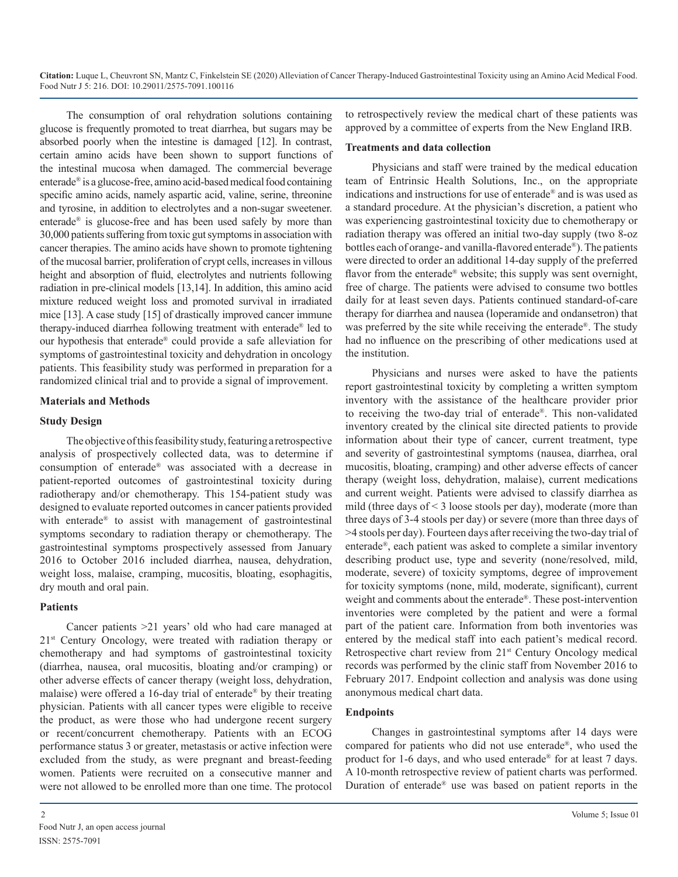The consumption of oral rehydration solutions containing glucose is frequently promoted to treat diarrhea, but sugars may be absorbed poorly when the intestine is damaged [12]. In contrast, certain amino acids have been shown to support functions of the intestinal mucosa when damaged. The commercial beverage enterade® is a glucose-free, amino acid-based medical food containing specific amino acids, namely aspartic acid, valine, serine, threonine and tyrosine, in addition to electrolytes and a non-sugar sweetener. enterade® is glucose-free and has been used safely by more than 30,000 patients suffering from toxic gut symptoms in association with cancer therapies. The amino acids have shown to promote tightening of the mucosal barrier, proliferation of crypt cells, increases in villous height and absorption of fluid, electrolytes and nutrients following radiation in pre-clinical models [13,14]. In addition, this amino acid mixture reduced weight loss and promoted survival in irradiated mice [13]. A case study [15] of drastically improved cancer immune therapy-induced diarrhea following treatment with enterade® led to our hypothesis that enterade® could provide a safe alleviation for symptoms of gastrointestinal toxicity and dehydration in oncology patients. This feasibility study was performed in preparation for a randomized clinical trial and to provide a signal of improvement.

#### **Materials and Methods**

#### **Study Design**

The objective of this feasibility study, featuring a retrospective analysis of prospectively collected data, was to determine if consumption of enterade® was associated with a decrease in patient-reported outcomes of gastrointestinal toxicity during radiotherapy and/or chemotherapy. This 154-patient study was designed to evaluate reported outcomes in cancer patients provided with enterade<sup>®</sup> to assist with management of gastrointestinal symptoms secondary to radiation therapy or chemotherapy. The gastrointestinal symptoms prospectively assessed from January 2016 to October 2016 included diarrhea, nausea, dehydration, weight loss, malaise, cramping, mucositis, bloating, esophagitis, dry mouth and oral pain.

#### **Patients**

Cancer patients >21 years' old who had care managed at 21<sup>st</sup> Century Oncology, were treated with radiation therapy or chemotherapy and had symptoms of gastrointestinal toxicity (diarrhea, nausea, oral mucositis, bloating and/or cramping) or other adverse effects of cancer therapy (weight loss, dehydration, malaise) were offered a 16-day trial of enterade® by their treating physician. Patients with all cancer types were eligible to receive the product, as were those who had undergone recent surgery or recent/concurrent chemotherapy. Patients with an ECOG performance status 3 or greater, metastasis or active infection were excluded from the study, as were pregnant and breast-feeding women. Patients were recruited on a consecutive manner and were not allowed to be enrolled more than one time. The protocol

to retrospectively review the medical chart of these patients was approved by a committee of experts from the New England IRB.

#### **Treatments and data collection**

Physicians and staff were trained by the medical education team of Entrinsic Health Solutions, Inc., on the appropriate indications and instructions for use of enterade® and is was used as a standard procedure. At the physician's discretion, a patient who was experiencing gastrointestinal toxicity due to chemotherapy or radiation therapy was offered an initial two-day supply (two 8-oz bottles each of orange- and vanilla-flavored enterade®). The patients were directed to order an additional 14-day supply of the preferred flavor from the enterade® website; this supply was sent overnight, free of charge. The patients were advised to consume two bottles daily for at least seven days. Patients continued standard-of-care therapy for diarrhea and nausea (loperamide and ondansetron) that was preferred by the site while receiving the enterade®. The study had no influence on the prescribing of other medications used at the institution.

Physicians and nurses were asked to have the patients report gastrointestinal toxicity by completing a written symptom inventory with the assistance of the healthcare provider prior to receiving the two-day trial of enterade®. This non-validated inventory created by the clinical site directed patients to provide information about their type of cancer, current treatment, type and severity of gastrointestinal symptoms (nausea, diarrhea, oral mucositis, bloating, cramping) and other adverse effects of cancer therapy (weight loss, dehydration, malaise), current medications and current weight. Patients were advised to classify diarrhea as mild (three days of < 3 loose stools per day), moderate (more than three days of 3-4 stools per day) or severe (more than three days of >4 stools per day). Fourteen days after receiving the two-day trial of enterade®, each patient was asked to complete a similar inventory describing product use, type and severity (none/resolved, mild, moderate, severe) of toxicity symptoms, degree of improvement for toxicity symptoms (none, mild, moderate, significant), current weight and comments about the enterade®. These post-intervention inventories were completed by the patient and were a formal part of the patient care. Information from both inventories was entered by the medical staff into each patient's medical record. Retrospective chart review from 21<sup>st</sup> Century Oncology medical records was performed by the clinic staff from November 2016 to February 2017. Endpoint collection and analysis was done using anonymous medical chart data.

#### **Endpoints**

Changes in gastrointestinal symptoms after 14 days were compared for patients who did not use enterade®, who used the product for 1-6 days, and who used enterade® for at least 7 days. A 10-month retrospective review of patient charts was performed. Duration of enterade® use was based on patient reports in the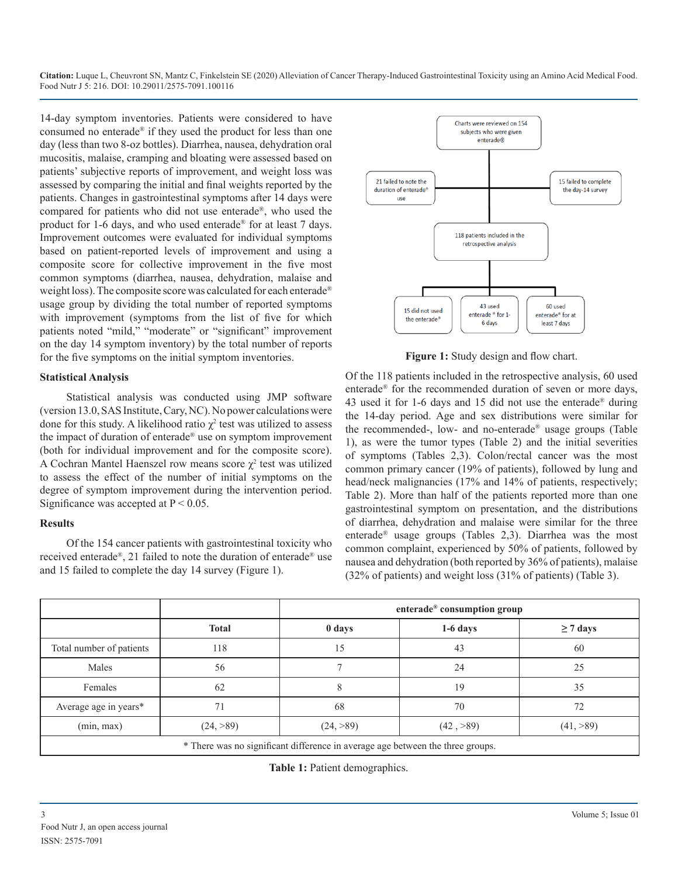14-day symptom inventories. Patients were considered to have consumed no enterade® if they used the product for less than one day (less than two 8-oz bottles). Diarrhea, nausea, dehydration oral mucositis, malaise, cramping and bloating were assessed based on patients' subjective reports of improvement, and weight loss was assessed by comparing the initial and final weights reported by the patients. Changes in gastrointestinal symptoms after 14 days were compared for patients who did not use enterade®, who used the product for 1-6 days, and who used enterade® for at least 7 days. Improvement outcomes were evaluated for individual symptoms based on patient-reported levels of improvement and using a composite score for collective improvement in the five most common symptoms (diarrhea, nausea, dehydration, malaise and weight loss). The composite score was calculated for each enterade® usage group by dividing the total number of reported symptoms with improvement (symptoms from the list of five for which patients noted "mild," "moderate" or "significant" improvement on the day 14 symptom inventory) by the total number of reports for the five symptoms on the initial symptom inventories.

#### **Statistical Analysis**

Statistical analysis was conducted using JMP software (version 13.0, SAS Institute, Cary, NC). No power calculations were done for this study. A likelihood ratio  $\chi^2$  test was utilized to assess the impact of duration of enterade® use on symptom improvement (both for individual improvement and for the composite score). A Cochran Mantel Haenszel row means score  $\chi^2$  test was utilized to assess the effect of the number of initial symptoms on the degree of symptom improvement during the intervention period. Significance was accepted at  $P < 0.05$ .

### **Results**

Of the 154 cancer patients with gastrointestinal toxicity who received enterade®, 21 failed to note the duration of enterade® use and 15 failed to complete the day 14 survey (Figure 1).



**Figure 1:** Study design and flow chart.

Of the 118 patients included in the retrospective analysis, 60 used enterade® for the recommended duration of seven or more days, 43 used it for 1-6 days and 15 did not use the enterade® during the 14-day period. Age and sex distributions were similar for the recommended-, low- and no-enterade® usage groups (Table 1), as were the tumor types (Table 2) and the initial severities of symptoms (Tables 2,3). Colon/rectal cancer was the most common primary cancer (19% of patients), followed by lung and head/neck malignancies (17% and 14% of patients, respectively; Table 2). More than half of the patients reported more than one gastrointestinal symptom on presentation, and the distributions of diarrhea, dehydration and malaise were similar for the three enterade® usage groups (Tables 2,3). Diarrhea was the most common complaint, experienced by 50% of patients, followed by nausea and dehydration (both reported by 36% of patients), malaise (32% of patients) and weight loss (31% of patients) (Table 3).

|                          | enterade® consumption group |                                                                                |            |               |  |
|--------------------------|-----------------------------|--------------------------------------------------------------------------------|------------|---------------|--|
|                          | <b>Total</b>                | 0 days                                                                         | $1-6$ days | $\geq$ 7 days |  |
| Total number of patients | 118                         | 15                                                                             | 43         | 60            |  |
| Males                    | 56                          |                                                                                | 24         | 25            |  |
| Females                  | 62                          |                                                                                | 19         | 35            |  |
| Average age in years*    | 71                          | 68                                                                             | 70         | 72            |  |
| (min, max)               | (24, >89)                   | (24, >89)                                                                      | (42, >89)  | (41, >89)     |  |
|                          |                             | * There was no significant difference in average age between the three groups. |            |               |  |

**Table 1:** Patient demographics.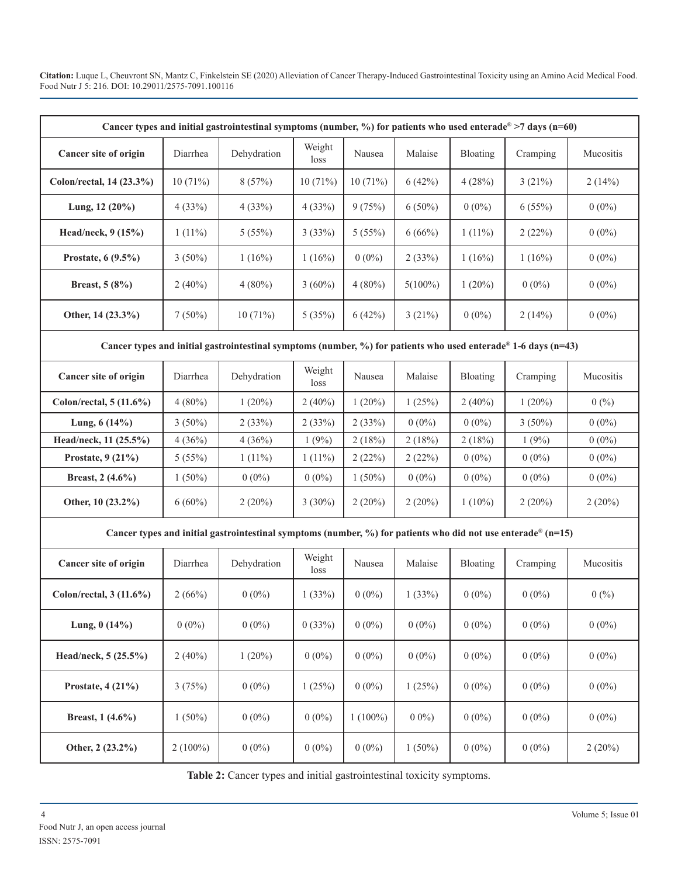**Citation:** Luque L, Cheuvront SN, Mantz C, Finkelstein SE (2020) Alleviation of Cancer Therapy-Induced Gastrointestinal Toxicity using an Amino Acid Medical Food. Food Nutr J 5: 216. DOI: 10.29011/2575-7091.100116

| Cancer types and initial gastrointestinal symptoms (number, %) for patients who used enterade® >7 days (n=60)              |            |             |                |            |            |           |           |           |
|----------------------------------------------------------------------------------------------------------------------------|------------|-------------|----------------|------------|------------|-----------|-----------|-----------|
| Cancer site of origin                                                                                                      | Diarrhea   | Dehydration | Weight<br>loss | Nausea     | Malaise    | Bloating  | Cramping  | Mucositis |
| Colon/rectal, 14 (23.3%)                                                                                                   | 10(71%)    | 8(57%)      | 10(71%)        | 10(71%)    | 6(42%)     | 4(28%)    | 3(21%)    | 2(14%)    |
| Lung, $12(20\%)$                                                                                                           | 4(33%)     | 4(33%)      | 4(33%)         | 9(75%)     | $6(50\%)$  | $0(0\%)$  | 6(55%)    | $0(0\%)$  |
| Head/neck, 9 (15%)                                                                                                         | $1(11\%)$  | 5(55%)      | 3(33%)         | 5(55%)     | 6(66%)     | $1(11\%)$ | 2(22%)    | $0(0\%)$  |
| Prostate, 6 (9.5%)                                                                                                         | $3(50\%)$  | 1(16%)      | 1(16%)         | $0(0\%)$   | 2(33%)     | 1(16%)    | 1(16%)    | $0(0\%)$  |
| Breast, 5 (8%)                                                                                                             | $2(40\%)$  | $4(80\%)$   | $3(60\%)$      | $4(80\%)$  | $5(100\%)$ | $1(20\%)$ | $0(0\%)$  | $0(0\%)$  |
| Other, 14 (23.3%)                                                                                                          | $7(50\%)$  | 10(71%)     | 5(35%)         | 6(42%)     | 3(21%)     | $0(0\%)$  | 2(14%)    | $0(0\%)$  |
| Cancer types and initial gastrointestinal symptoms (number, %) for patients who used enterade <sup>®</sup> 1-6 days (n=43) |            |             |                |            |            |           |           |           |
| Cancer site of origin                                                                                                      | Diarrhea   | Dehydration | Weight<br>loss | Nausea     | Malaise    | Bloating  | Cramping  | Mucositis |
| Colon/rectal, $5(11.6\%)$                                                                                                  | $4(80\%)$  | $1(20\%)$   | 2(40%)         | $1(20\%)$  | 1(25%)     | $2(40\%)$ | $1(20\%)$ | 0(%)      |
| Lung, $6(14%)$                                                                                                             | $3(50\%)$  | 2(33%)      | 2(33%)         | 2(33%)     | $0(0\%)$   | $0(0\%)$  | $3(50\%)$ | $0(0\%)$  |
| Head/neck, 11 (25.5%)                                                                                                      | 4(36%)     | 4(36%)      | 1(9%)          | 2(18%)     | 2(18%)     | 2(18%)    | 1(9%)     | $0(0\%)$  |
| Prostate, 9 (21%)                                                                                                          | 5(55%)     | $1(11\%)$   | $1(11\%)$      | 2(22%)     | 2(22%)     | $0(0\%)$  | $0(0\%)$  | $0(0\%)$  |
| Breast, 2 (4.6%)                                                                                                           | $1(50\%)$  | $0(0\%)$    | $0(0\%)$       | $1(50\%)$  | $0(0\%)$   | $0(0\%)$  | $0(0\%)$  | $0(0\%)$  |
| Other, 10 (23.2%)                                                                                                          | $6(60\%)$  | $2(20\%)$   | $3(30\%)$      | 2(20%)     | $2(20\%)$  | $1(10\%)$ | $2(20\%)$ | $2(20\%)$ |
| Cancer types and initial gastrointestinal symptoms (number, %) for patients who did not use enterade <sup>®</sup> (n=15)   |            |             |                |            |            |           |           |           |
| Cancer site of origin                                                                                                      | Diarrhea   | Dehydration | Weight<br>loss | Nausea     | Malaise    | Bloating  | Cramping  | Mucositis |
| Colon/rectal, $3(11.6\%)$                                                                                                  | 2(66%)     | $0(0\%)$    | 1(33%)         | $0(0\%)$   | 1(33%)     | $0(0\%)$  | $0(0\%)$  | 0(%)      |
| Lung, $0(14%)$                                                                                                             | $0(0\%)$   | $0(0\%)$    | 0(33%)         | $0(0\%)$   | $0(0\%)$   | $0(0\%)$  | $0(0\%)$  | $0(0\%)$  |
| Head/neck, 5 (25.5%)                                                                                                       | $2(40\%)$  | $1(20\%)$   | $0(0\%)$       | $0(0\%)$   | $0(0\%)$   | $0(0\%)$  | $0(0\%)$  | $0(0\%)$  |
| Prostate, 4 (21%)                                                                                                          | 3(75%)     | $0(0\%)$    | 1(25%)         | $0(0\%)$   | 1(25%)     | $0(0\%)$  | $0(0\%)$  | $0(0\%)$  |
| Breast, $1(4.6\%)$                                                                                                         | $1(50\%)$  | $0(0\%)$    | $0(0\%)$       | $1(100\%)$ | $00\%$     | $0(0\%)$  | $0(0\%)$  | $0(0\%)$  |
| Other, 2 (23.2%)                                                                                                           | $2(100\%)$ | $0(0\%)$    | $0(0\%)$       | $0(0\%)$   | $1(50\%)$  | $0(0\%)$  | $0(0\%)$  | 2(20%)    |

**Table 2:** Cancer types and initial gastrointestinal toxicity symptoms.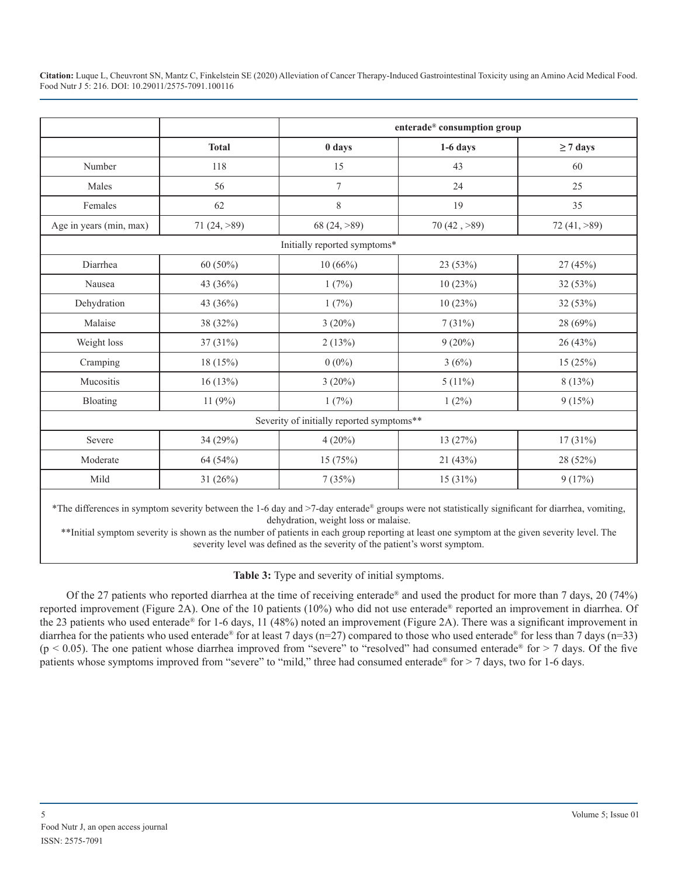|                         |                | enterade® consumption group               |                       |                |  |  |
|-------------------------|----------------|-------------------------------------------|-----------------------|----------------|--|--|
|                         | <b>Total</b>   | 0 days                                    | $1-6$ days            | $\geq$ 7 days  |  |  |
| Number                  | 118            | 15                                        | 43                    | 60             |  |  |
| Males                   | 56             | 7                                         | 24                    | 25             |  |  |
| Females                 | 62             | $\,$ $\,$                                 | 19                    | 35             |  |  |
| Age in years (min, max) | 71 $(24, >89)$ | 68 (24, >89)                              | 70(42, >89)           | 72 $(41, >89)$ |  |  |
|                         |                | Initially reported symptoms*              |                       |                |  |  |
| Diarrhea                | $60(50\%)$     | 10(66%)                                   | 23(53%)               | 27(45%)        |  |  |
| Nausea                  | 43 (36%)       | 1(7%)                                     | 10(23%)               | 32(53%)        |  |  |
| Dehydration             | 43 (36%)       | 1(7%)                                     | 10(23%)               | 32(53%)        |  |  |
| Malaise                 | 38 (32%)       | $3(20\%)$                                 | 7(31%)                | 28 (69%)       |  |  |
| Weight loss             | 37(31%)        | 2(13%)                                    | $9(20\%)$             | 26(43%)        |  |  |
| Cramping                | 18(15%)        | $0(0\%)$                                  | 3(6%)                 | 15(25%)        |  |  |
| Mucositis               | 16(13%)        | $3(20\%)$                                 | $5(11\%)$             | 8(13%)         |  |  |
| Bloating                | 11 $(9%)$      | 1(7%)                                     | $1(2\%)$              | 9(15%)         |  |  |
|                         |                | Severity of initially reported symptoms** |                       |                |  |  |
| Severe                  | 34 (29%)       | $4(20\%)$                                 | 13(27%)<br>$17(31\%)$ |                |  |  |
| Moderate                | 64 (54%)       | 15 (75%)                                  | 21(43%)<br>28 (52%)   |                |  |  |
| Mild                    | 31(26%)        | 7(35%)                                    | 9(17%)<br>15(31%)     |                |  |  |

\*The differences in symptom severity between the 1-6 day and  $>7$ -day enterade® groups were not statistically significant for diarrhea, vomiting, dehydration, weight loss or malaise.

\*\*Initial symptom severity is shown as the number of patients in each group reporting at least one symptom at the given severity level. The severity level was defined as the severity of the patient's worst symptom.

**Table 3:** Type and severity of initial symptoms.

Of the 27 patients who reported diarrhea at the time of receiving enterade® and used the product for more than 7 days, 20 (74%) reported improvement (Figure 2A). One of the 10 patients (10%) who did not use enterade® reported an improvement in diarrhea. Of the 23 patients who used enterade® for 1-6 days, 11 (48%) noted an improvement (Figure 2A). There was a significant improvement in diarrhea for the patients who used enterade® for at least 7 days (n=27) compared to those who used enterade® for less than 7 days (n=33)  $(p < 0.05)$ . The one patient whose diarrhea improved from "severe" to "resolved" had consumed enterade® for > 7 days. Of the five patients whose symptoms improved from "severe" to "mild," three had consumed enterade® for > 7 days, two for 1-6 days.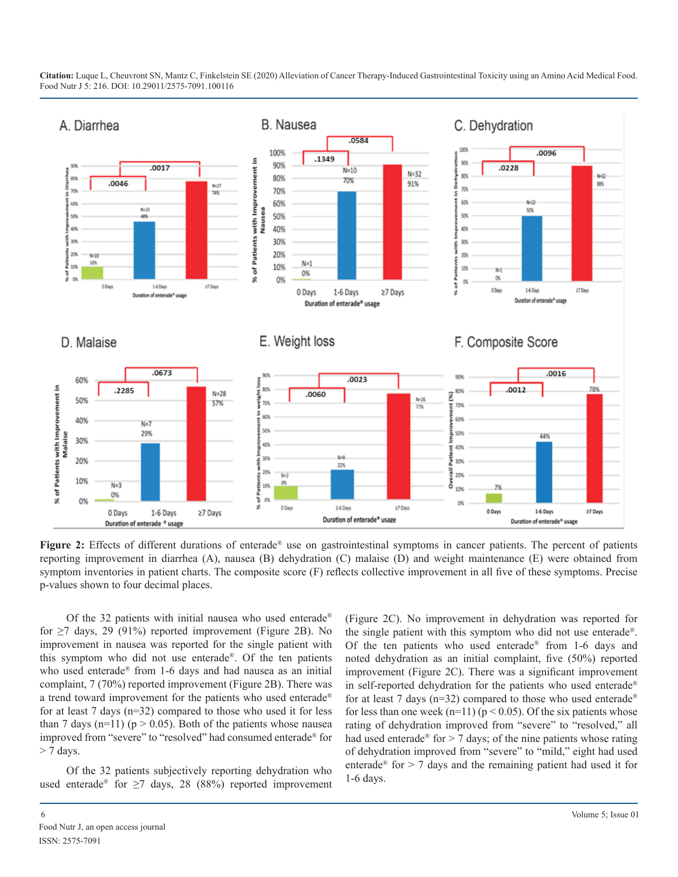

**Figure 2:** Effects of different durations of enterade<sup>®</sup> use on gastrointestinal symptoms in cancer patients. The percent of patients reporting improvement in diarrhea (A), nausea (B) dehydration (C) malaise (D) and weight maintenance (E) were obtained from symptom inventories in patient charts. The composite score (F) reflects collective improvement in all five of these symptoms. Precise p-values shown to four decimal places.

Of the 32 patients with initial nausea who used enterade® for  $\geq$ 7 days, 29 (91%) reported improvement (Figure 2B). No improvement in nausea was reported for the single patient with this symptom who did not use enterade®. Of the ten patients who used enterade® from 1-6 days and had nausea as an initial complaint, 7 (70%) reported improvement (Figure 2B). There was a trend toward improvement for the patients who used enterade® for at least 7 days (n=32) compared to those who used it for less than 7 days (n=11) ( $p > 0.05$ ). Both of the patients whose nausea improved from "severe" to "resolved" had consumed enterade® for  $> 7$  days.

Of the 32 patients subjectively reporting dehydration who used enterade<sup>®</sup> for  $\geq$ 7 days, 28 (88%) reported improvement (Figure 2C). No improvement in dehydration was reported for the single patient with this symptom who did not use enterade®. Of the ten patients who used enterade® from 1-6 days and noted dehydration as an initial complaint, five (50%) reported improvement (Figure 2C). There was a significant improvement in self-reported dehydration for the patients who used enterade® for at least 7 days ( $n=32$ ) compared to those who used enterade<sup>®</sup> for less than one week (n=11) ( $p < 0.05$ ). Of the six patients whose rating of dehydration improved from "severe" to "resolved," all had used enterade<sup>®</sup> for  $> 7$  days; of the nine patients whose rating of dehydration improved from "severe" to "mild," eight had used enterade<sup>®</sup> for > 7 days and the remaining patient had used it for 1-6 days.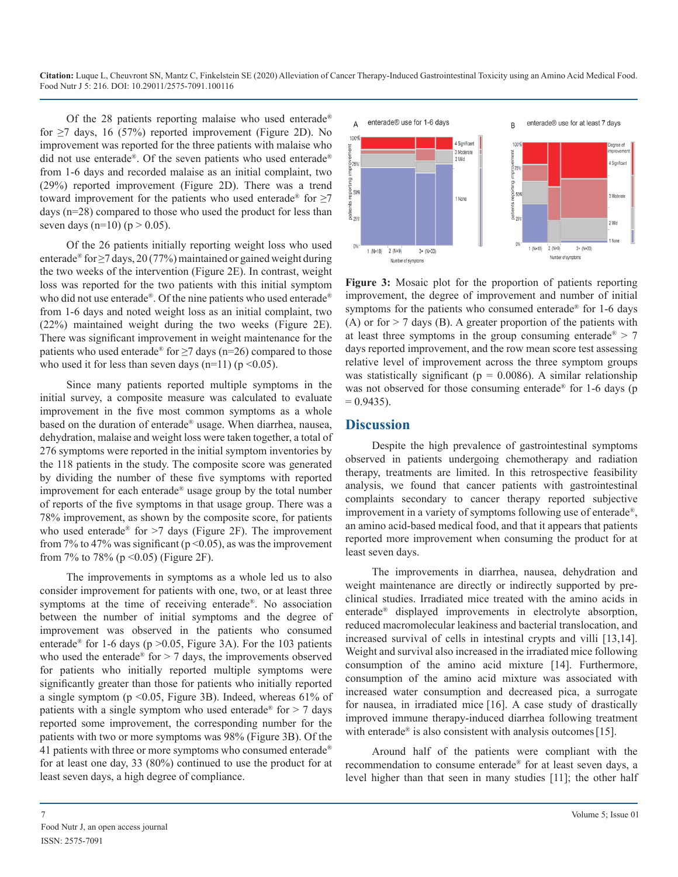Of the 28 patients reporting malaise who used enterade<sup>®</sup> for  $\geq$ 7 days, 16 (57%) reported improvement (Figure 2D). No improvement was reported for the three patients with malaise who did not use enterade®. Of the seven patients who used enterade® from 1-6 days and recorded malaise as an initial complaint, two (29%) reported improvement (Figure 2D). There was a trend toward improvement for the patients who used enterade<sup>®</sup> for  $\geq 7$ days (n=28) compared to those who used the product for less than seven days (n=10) (p  $> 0.05$ ).

Of the 26 patients initially reporting weight loss who used enterade<sup>®</sup> for  $\geq$ 7 days, 20 (77%) maintained or gained weight during the two weeks of the intervention (Figure 2E). In contrast, weight loss was reported for the two patients with this initial symptom who did not use enterade®. Of the nine patients who used enterade® from 1-6 days and noted weight loss as an initial complaint, two (22%) maintained weight during the two weeks (Figure 2E). There was significant improvement in weight maintenance for the patients who used enterade<sup>®</sup> for  $\geq$ 7 days (n=26) compared to those who used it for less than seven days (n=11) ( $p \le 0.05$ ).

Since many patients reported multiple symptoms in the initial survey, a composite measure was calculated to evaluate improvement in the five most common symptoms as a whole based on the duration of enterade® usage. When diarrhea, nausea, dehydration, malaise and weight loss were taken together, a total of 276 symptoms were reported in the initial symptom inventories by the 118 patients in the study. The composite score was generated by dividing the number of these five symptoms with reported improvement for each enterade® usage group by the total number of reports of the five symptoms in that usage group. There was a 78% improvement, as shown by the composite score, for patients who used enterade<sup>®</sup> for >7 days (Figure 2F). The improvement from 7% to 47% was significant ( $p \le 0.05$ ), as was the improvement from 7% to 78% ( $p \le 0.05$ ) (Figure 2F).

The improvements in symptoms as a whole led us to also consider improvement for patients with one, two, or at least three symptoms at the time of receiving enterade®. No association between the number of initial symptoms and the degree of improvement was observed in the patients who consumed enterade<sup>®</sup> for 1-6 days ( $p > 0.05$ , Figure 3A). For the 103 patients who used the enterade<sup>®</sup> for  $> 7$  days, the improvements observed for patients who initially reported multiple symptoms were significantly greater than those for patients who initially reported a single symptom ( $p \le 0.05$ , Figure 3B). Indeed, whereas 61% of patients with a single symptom who used enterade<sup>®</sup> for  $> 7$  days reported some improvement, the corresponding number for the patients with two or more symptoms was 98% (Figure 3B). Of the 41 patients with three or more symptoms who consumed enterade® for at least one day, 33 (80%) continued to use the product for at least seven days, a high degree of compliance.



**Figure 3:** Mosaic plot for the proportion of patients reporting improvement, the degree of improvement and number of initial symptoms for the patients who consumed enterade<sup>®</sup> for 1-6 days (A) or for  $> 7$  days (B). A greater proportion of the patients with at least three symptoms in the group consuming enterade<sup>®</sup> > 7 days reported improvement, and the row mean score test assessing relative level of improvement across the three symptom groups was statistically significant ( $p = 0.0086$ ). A similar relationship was not observed for those consuming enterade<sup>®</sup> for 1-6 days (p  $= 0.9435$ ).

#### **Discussion**

Despite the high prevalence of gastrointestinal symptoms observed in patients undergoing chemotherapy and radiation therapy, treatments are limited. In this retrospective feasibility analysis, we found that cancer patients with gastrointestinal complaints secondary to cancer therapy reported subjective improvement in a variety of symptoms following use of enterade®, an amino acid-based medical food, and that it appears that patients reported more improvement when consuming the product for at least seven days.

The improvements in diarrhea, nausea, dehydration and weight maintenance are directly or indirectly supported by preclinical studies. Irradiated mice treated with the amino acids in enterade® displayed improvements in electrolyte absorption, reduced macromolecular leakiness and bacterial translocation, and increased survival of cells in intestinal crypts and villi [13,14]. Weight and survival also increased in the irradiated mice following consumption of the amino acid mixture [14]. Furthermore, consumption of the amino acid mixture was associated with increased water consumption and decreased pica, a surrogate for nausea, in irradiated mice [16]. A case study of drastically improved immune therapy-induced diarrhea following treatment with enterade<sup>®</sup> is also consistent with analysis outcomes [15].

Around half of the patients were compliant with the recommendation to consume enterade® for at least seven days, a level higher than that seen in many studies [11]; the other half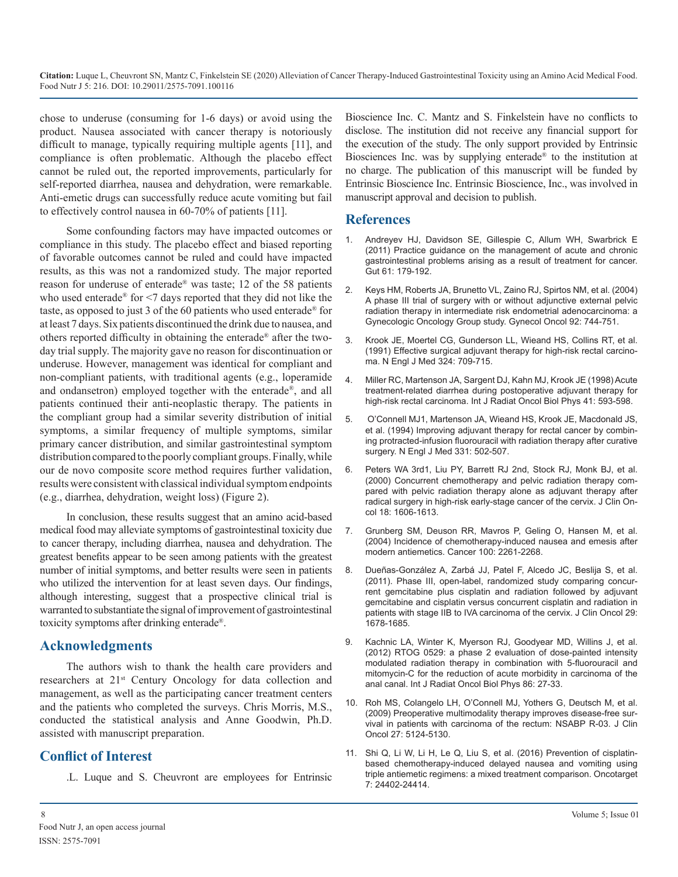chose to underuse (consuming for 1-6 days) or avoid using the product. Nausea associated with cancer therapy is notoriously difficult to manage, typically requiring multiple agents [11], and compliance is often problematic. Although the placebo effect cannot be ruled out, the reported improvements, particularly for self-reported diarrhea, nausea and dehydration, were remarkable. Anti-emetic drugs can successfully reduce acute vomiting but fail to effectively control nausea in 60-70% of patients [11].

Some confounding factors may have impacted outcomes or compliance in this study. The placebo effect and biased reporting of favorable outcomes cannot be ruled and could have impacted results, as this was not a randomized study. The major reported reason for underuse of enterade® was taste; 12 of the 58 patients who used enterade® for <7 days reported that they did not like the taste, as opposed to just 3 of the 60 patients who used enterade® for at least 7 days. Six patients discontinued the drink due to nausea, and others reported difficulty in obtaining the enterade® after the twoday trial supply. The majority gave no reason for discontinuation or underuse. However, management was identical for compliant and non-compliant patients, with traditional agents (e.g., loperamide and ondansetron) employed together with the enterade®, and all patients continued their anti-neoplastic therapy. The patients in the compliant group had a similar severity distribution of initial symptoms, a similar frequency of multiple symptoms, similar primary cancer distribution, and similar gastrointestinal symptom distribution compared to the poorly compliant groups. Finally, while our de novo composite score method requires further validation, results were consistent with classical individual symptom endpoints (e.g., diarrhea, dehydration, weight loss) (Figure 2).

In conclusion, these results suggest that an amino acid-based medical food may alleviate symptoms of gastrointestinal toxicity due to cancer therapy, including diarrhea, nausea and dehydration. The greatest benefits appear to be seen among patients with the greatest number of initial symptoms, and better results were seen in patients who utilized the intervention for at least seven days. Our findings, although interesting, suggest that a prospective clinical trial is warranted to substantiate the signal of improvement of gastrointestinal toxicity symptoms after drinking enterade®.

## **Acknowledgments**

The authors wish to thank the health care providers and researchers at 21<sup>st</sup> Century Oncology for data collection and management, as well as the participating cancer treatment centers and the patients who completed the surveys. Chris Morris, M.S., conducted the statistical analysis and Anne Goodwin, Ph.D. assisted with manuscript preparation.

## **Conflict of Interest**

.L. Luque and S. Cheuvront are employees for Entrinsic

Bioscience Inc. C. Mantz and S. Finkelstein have no conflicts to disclose. The institution did not receive any financial support for the execution of the study. The only support provided by Entrinsic Biosciences Inc. was by supplying enterade® to the institution at no charge. The publication of this manuscript will be funded by Entrinsic Bioscience Inc. Entrinsic Bioscience, Inc., was involved in manuscript approval and decision to publish.

## **References**

- 1. [Andreyev HJ, Davidson SE, Gillespie C, Allum WH, Swarbrick E](https://www.ncbi.nlm.nih.gov/pubmed/22057051)  (2011) Practice guidance on the management of acute and chronic [gastrointestinal problems arising as a result of treatment for cancer.](https://www.ncbi.nlm.nih.gov/pubmed/22057051)  [Gut 61: 179-192.](https://www.ncbi.nlm.nih.gov/pubmed/22057051)
- 2. [Keys HM, Roberts JA, Brunetto VL, Zaino RJ, Spirtos NM, et al. \(2004\)](https://www.ncbi.nlm.nih.gov/pubmed/14984936)  A phase III trial of surgery with or without adjunctive external pelvic [radiation therapy in intermediate risk endometrial adenocarcinoma: a](https://www.ncbi.nlm.nih.gov/pubmed/14984936)  [Gynecologic Oncology Group study. Gynecol Oncol 92: 744-751.](https://www.ncbi.nlm.nih.gov/pubmed/14984936)
- 3. [Krook JE, Moertel CG, Gunderson LL, Wieand HS, Collins RT, et al.](https://www.ncbi.nlm.nih.gov/pubmed/1997835)  (1991) Effective surgical adjuvant therapy for high-risk rectal carcino[ma. N Engl J Med 324: 709-715.](https://www.ncbi.nlm.nih.gov/pubmed/1997835)
- 4. [Miller RC, Martenson JA, Sargent DJ, Kahn MJ, Krook JE \(1998\) Acute](https://www.ncbi.nlm.nih.gov/pubmed/9635707)  treatment-related diarrhea during postoperative adjuvant therapy fo[r](https://www.ncbi.nlm.nih.gov/pubmed/9635707)  [high-risk rectal carcinoma. Int J Radiat Oncol Biol Phys 41: 593-598.](https://www.ncbi.nlm.nih.gov/pubmed/9635707)
- 5. [O'Connell MJ1, Martenson JA, Wieand HS, Krook JE, Macdonald JS,](https://www.ncbi.nlm.nih.gov/pubmed/8041415)  et al. (1994) Improving adjuvant therapy for rectal cancer by combin[ing protracted-infusion fluorouracil with radiation therapy after curative](https://www.ncbi.nlm.nih.gov/pubmed/8041415)  [surgery. N Engl J Med 331: 502-507.](https://www.ncbi.nlm.nih.gov/pubmed/8041415)
- 6. [Peters WA 3rd1, Liu PY, Barrett RJ 2nd, Stock RJ, Monk BJ, et al.](https://www.ncbi.nlm.nih.gov/pubmed/10764420)  (2000) Concurrent chemotherapy and pelvic radiation therapy com[pared with pelvic radiation therapy alone as adjuvant therapy after](https://www.ncbi.nlm.nih.gov/pubmed/10764420)  [radical surgery in high-risk early-stage cancer of the cervix. J Clin On](https://www.ncbi.nlm.nih.gov/pubmed/10764420)[col 18: 1606-1613.](https://www.ncbi.nlm.nih.gov/pubmed/10764420)
- 7. [Grunberg SM, Deuson RR, Mavros P, Geling O, Hansen M, et al.](https://www.ncbi.nlm.nih.gov/pubmed/15139073)  (2004) Incidence of chemotherapy-induced nausea and emesis after [modern antiemetics. Cancer 100: 2261-2268.](https://www.ncbi.nlm.nih.gov/pubmed/15139073)
- 8. [Dueñas-González A, Zarbá JJ, Patel F, Alcedo JC, Beslija S, et al.](https://www.ncbi.nlm.nih.gov/pubmed/21444871)  (2011). Phase III, open-label, randomized study comparing concur[rent gemcitabine plus cisplatin and radiation followed by adjuvant](https://www.ncbi.nlm.nih.gov/pubmed/21444871)  [gemcitabine and cisplatin versus concurrent cisplatin and radiation in](https://www.ncbi.nlm.nih.gov/pubmed/21444871)  [patients with stage IIB to IVA carcinoma of the cervix. J Clin Oncol 29:](https://www.ncbi.nlm.nih.gov/pubmed/21444871)  [1678-1685.](https://www.ncbi.nlm.nih.gov/pubmed/21444871)
- 9. [Kachnic LA, Winter K, Myerson RJ, Goodyear MD, Willins J, et al.](https://www.ncbi.nlm.nih.gov/pubmed/23154075) (2012) RTOG 0529: a phase 2 evaluation of dose-painted intensity [modulated radiation therapy in combination with 5-fluorouracil and](https://www.ncbi.nlm.nih.gov/pubmed/23154075)  [mitomycin-C for the reduction of acute morbidity in carcinoma of the](https://www.ncbi.nlm.nih.gov/pubmed/23154075)  [anal canal. Int J Radiat Oncol Biol Phys 86: 27-33.](https://www.ncbi.nlm.nih.gov/pubmed/23154075)
- 10. [Roh MS, Colangelo LH, O'Connell MJ, Yothers G, Deutsch M, et al.](https://www.ncbi.nlm.nih.gov/pubmed/19770376)  (2009) Preoperative multimodality therapy improves disease-free sur[vival in patients with carcinoma of the rectum: NSABP R-03. J Clin](https://www.ncbi.nlm.nih.gov/pubmed/19770376)  [Oncol 27: 5124-5130.](https://www.ncbi.nlm.nih.gov/pubmed/19770376)
- 11. [Shi Q, Li W, Li H, Le Q, Liu S, et al. \(2016\) Prevention of cisplatin](https://www.ncbi.nlm.nih.gov/pubmed/27015550)based chemotherapy-induced delayed nausea and vomiting using [triple antiemetic regimens: a mixed treatment comparison. Oncotarget](https://www.ncbi.nlm.nih.gov/pubmed/27015550) [7: 24402-24414.](https://www.ncbi.nlm.nih.gov/pubmed/27015550)